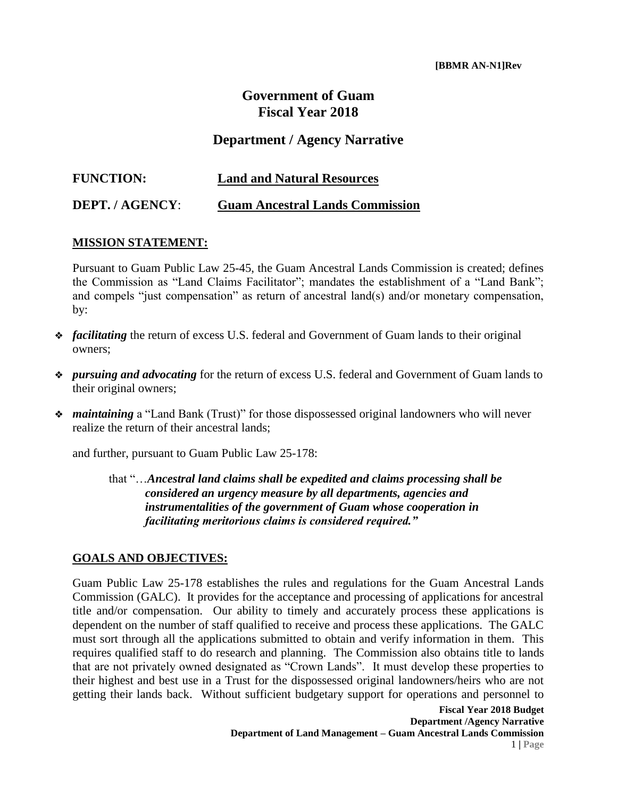## **Government of Guam Fiscal Year 2018**

## **Department / Agency Narrative**

| <b>FUNCTION:</b> | <b>Land and Natural Resources</b>      |
|------------------|----------------------------------------|
| DEPT. / AGENCY:  | <b>Guam Ancestral Lands Commission</b> |

## **MISSION STATEMENT:**

Pursuant to Guam Public Law 25-45, the Guam Ancestral Lands Commission is created; defines the Commission as "Land Claims Facilitator"; mandates the establishment of a "Land Bank"; and compels "just compensation" as return of ancestral land(s) and/or monetary compensation, by:

- ❖ *facilitating* the return of excess U.S. federal and Government of Guam lands to their original owners;
- ❖ *pursuing and advocating* for the return of excess U.S. federal and Government of Guam lands to their original owners;
- ❖ *maintaining* a "Land Bank (Trust)" for those dispossessed original landowners who will never realize the return of their ancestral lands;

and further, pursuant to Guam Public Law 25-178:

that "…*Ancestral land claims shall be expedited and claims processing shall be considered an urgency measure by all departments, agencies and instrumentalities of the government of Guam whose cooperation in facilitating meritorious claims is considered required."*

## **GOALS AND OBJECTIVES:**

Guam Public Law 25-178 establishes the rules and regulations for the Guam Ancestral Lands Commission (GALC). It provides for the acceptance and processing of applications for ancestral title and/or compensation. Our ability to timely and accurately process these applications is dependent on the number of staff qualified to receive and process these applications. The GALC must sort through all the applications submitted to obtain and verify information in them. This requires qualified staff to do research and planning. The Commission also obtains title to lands that are not privately owned designated as "Crown Lands". It must develop these properties to their highest and best use in a Trust for the dispossessed original landowners/heirs who are not getting their lands back. Without sufficient budgetary support for operations and personnel to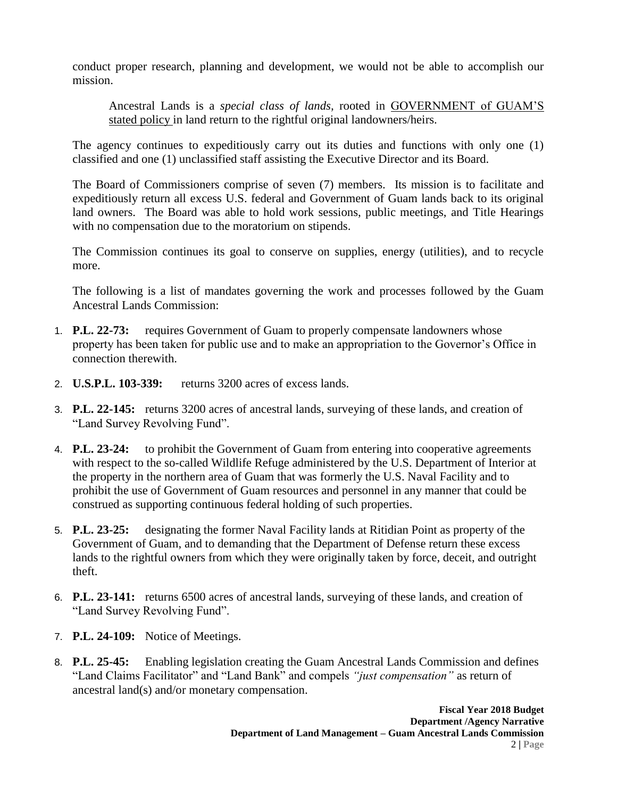conduct proper research, planning and development, we would not be able to accomplish our mission.

Ancestral Lands is a *special class of lands,* rooted in GOVERNMENT of GUAM'S stated policy in land return to the rightful original landowners/heirs.

The agency continues to expeditiously carry out its duties and functions with only one (1) classified and one (1) unclassified staff assisting the Executive Director and its Board.

The Board of Commissioners comprise of seven (7) members. Its mission is to facilitate and expeditiously return all excess U.S. federal and Government of Guam lands back to its original land owners. The Board was able to hold work sessions, public meetings, and Title Hearings with no compensation due to the moratorium on stipends.

The Commission continues its goal to conserve on supplies, energy (utilities), and to recycle more.

The following is a list of mandates governing the work and processes followed by the Guam Ancestral Lands Commission:

- 1. **P.L. 22-73:** requires Government of Guam to properly compensate landowners whose property has been taken for public use and to make an appropriation to the Governor's Office in connection therewith.
- 2. **U.S.P.L. 103-339:** returns 3200 acres of excess lands.
- 3. **P.L. 22-145:** returns 3200 acres of ancestral lands, surveying of these lands, and creation of "Land Survey Revolving Fund".
- 4. **P.L. 23-24:** to prohibit the Government of Guam from entering into cooperative agreements with respect to the so-called Wildlife Refuge administered by the U.S. Department of Interior at the property in the northern area of Guam that was formerly the U.S. Naval Facility and to prohibit the use of Government of Guam resources and personnel in any manner that could be construed as supporting continuous federal holding of such properties.
- 5. **P.L. 23-25:** designating the former Naval Facility lands at Ritidian Point as property of the Government of Guam, and to demanding that the Department of Defense return these excess lands to the rightful owners from which they were originally taken by force, deceit, and outright theft.
- 6. **P.L. 23-141:** returns 6500 acres of ancestral lands, surveying of these lands, and creation of "Land Survey Revolving Fund".
- 7. **P.L. 24-109:** Notice of Meetings.
- 8. **P.L. 25-45:** Enabling legislation creating the Guam Ancestral Lands Commission and defines "Land Claims Facilitator" and "Land Bank" and compels *"just compensation"* as return of ancestral land(s) and/or monetary compensation.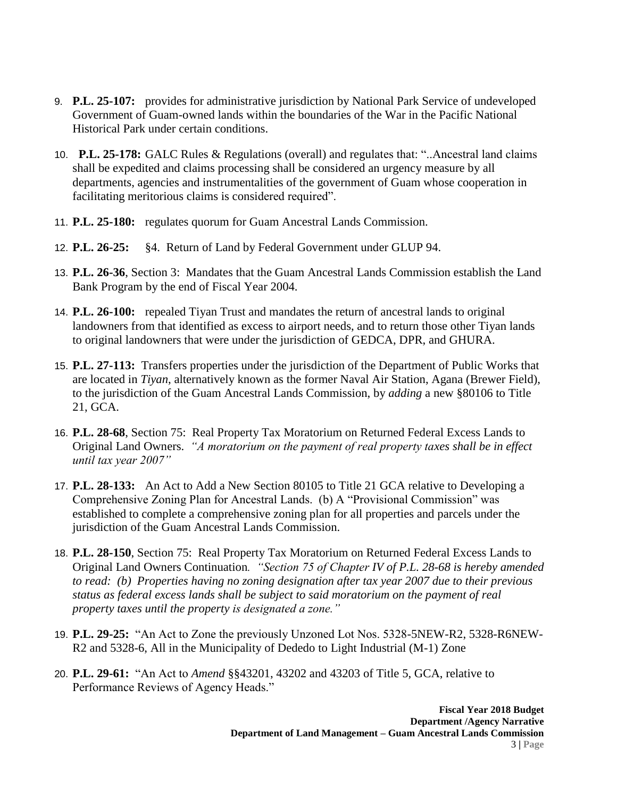- 9. **P.L. 25-107:** provides for administrative jurisdiction by National Park Service of undeveloped Government of Guam-owned lands within the boundaries of the War in the Pacific National Historical Park under certain conditions.
- 10. **P.L. 25-178:** GALC Rules & Regulations (overall) and regulates that: "..Ancestral land claims shall be expedited and claims processing shall be considered an urgency measure by all departments, agencies and instrumentalities of the government of Guam whose cooperation in facilitating meritorious claims is considered required".
- 11. **P.L. 25-180:** regulates quorum for Guam Ancestral Lands Commission.
- 12. **P.L. 26-25:** §4. Return of Land by Federal Government under GLUP 94.
- 13. **P.L. 26-36**, Section 3: Mandates that the Guam Ancestral Lands Commission establish the Land Bank Program by the end of Fiscal Year 2004.
- 14. **P.L. 26-100:** repealed Tiyan Trust and mandates the return of ancestral lands to original landowners from that identified as excess to airport needs, and to return those other Tiyan lands to original landowners that were under the jurisdiction of GEDCA, DPR, and GHURA.
- 15. **P.L. 27-113:** Transfers properties under the jurisdiction of the Department of Public Works that are located in *Tiyan*, alternatively known as the former Naval Air Station, Agana (Brewer Field), to the jurisdiction of the Guam Ancestral Lands Commission, by *adding* a new §80106 to Title 21, GCA.
- 16. **P.L. 28-68**, Section 75: Real Property Tax Moratorium on Returned Federal Excess Lands to Original Land Owners. *"A moratorium on the payment of real property taxes shall be in effect until tax year 2007"*
- 17. **P.L. 28-133:** An Act to Add a New Section 80105 to Title 21 GCA relative to Developing a Comprehensive Zoning Plan for Ancestral Lands. (b) A "Provisional Commission" was established to complete a comprehensive zoning plan for all properties and parcels under the jurisdiction of the Guam Ancestral Lands Commission.
- 18. **P.L. 28-150**, Section 75: Real Property Tax Moratorium on Returned Federal Excess Lands to Original Land Owners Continuation*. "Section 75 of Chapter IV of P.L. 28-68 is hereby amended to read: (b) Properties having no zoning designation after tax year 2007 due to their previous status as federal excess lands shall be subject to said moratorium on the payment of real property taxes until the property is designated a zone."*
- 19. **P.L. 29-25:** "An Act to Zone the previously Unzoned Lot Nos. 5328-5NEW-R2, 5328-R6NEW-R2 and 5328-6, All in the Municipality of Dededo to Light Industrial (M-1) Zone
- 20. **P.L. 29-61:** "An Act to *Amend* §§43201, 43202 and 43203 of Title 5, GCA, relative to Performance Reviews of Agency Heads."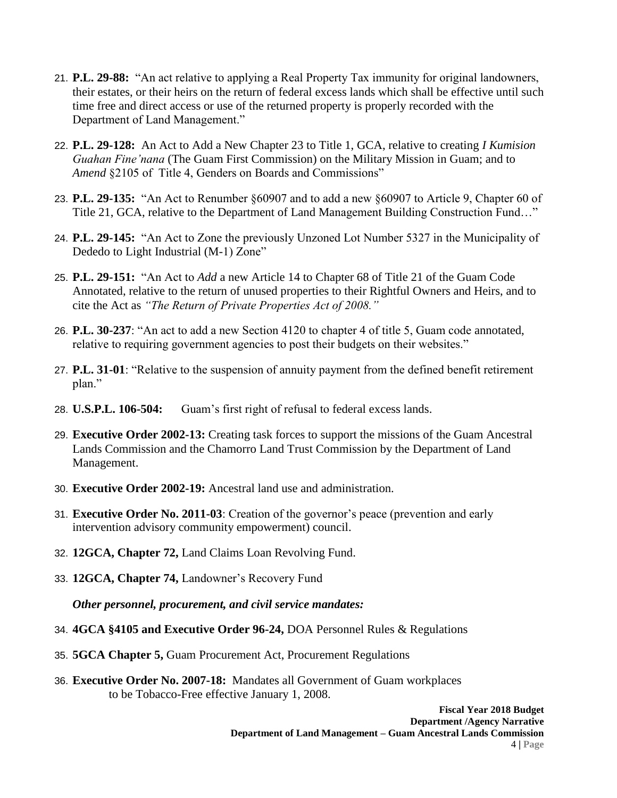- 21. **P.L. 29-88:** "An act relative to applying a Real Property Tax immunity for original landowners, their estates, or their heirs on the return of federal excess lands which shall be effective until such time free and direct access or use of the returned property is properly recorded with the Department of Land Management."
- 22. **P.L. 29-128:** An Act to Add a New Chapter 23 to Title 1, GCA, relative to creating *I Kumision Guahan Fine'nana* (The Guam First Commission) on the Military Mission in Guam; and to *Amend* §2105 of Title 4, Genders on Boards and Commissions"
- 23. **P.L. 29-135:** "An Act to Renumber §60907 and to add a new §60907 to Article 9, Chapter 60 of Title 21, GCA, relative to the Department of Land Management Building Construction Fund…"
- 24. **P.L. 29-145:** "An Act to Zone the previously Unzoned Lot Number 5327 in the Municipality of Dededo to Light Industrial (M-1) Zone"
- 25. **P.L. 29-151:** "An Act to *Add* a new Article 14 to Chapter 68 of Title 21 of the Guam Code Annotated, relative to the return of unused properties to their Rightful Owners and Heirs, and to cite the Act as *"The Return of Private Properties Act of 2008."*
- 26. **P.L. 30-237**: "An act to add a new Section 4120 to chapter 4 of title 5, Guam code annotated, relative to requiring government agencies to post their budgets on their websites."
- 27. **P.L. 31-01**: "Relative to the suspension of annuity payment from the defined benefit retirement plan."
- 28. **U.S.P.L. 106-504:** Guam's first right of refusal to federal excess lands.
- 29. **Executive Order 2002-13:** Creating task forces to support the missions of the Guam Ancestral Lands Commission and the Chamorro Land Trust Commission by the Department of Land Management.
- 30. **Executive Order 2002-19:** Ancestral land use and administration.
- 31. **Executive Order No. 2011-03**: Creation of the governor's peace (prevention and early intervention advisory community empowerment) council.
- 32. **12GCA, Chapter 72,** Land Claims Loan Revolving Fund.
- 33. **12GCA, Chapter 74,** Landowner's Recovery Fund

*Other personnel, procurement, and civil service mandates:*

- 34. **4GCA §4105 and Executive Order 96-24,** DOA Personnel Rules & Regulations
- 35. **5GCA Chapter 5,** Guam Procurement Act, Procurement Regulations
- 36. **Executive Order No. 2007-18:** Mandates all Government of Guam workplaces to be Tobacco-Free effective January 1, 2008.

**Fiscal Year 2018 Budget Department /Agency Narrative Department of Land Management – Guam Ancestral Lands Commission**  4 **| Page**